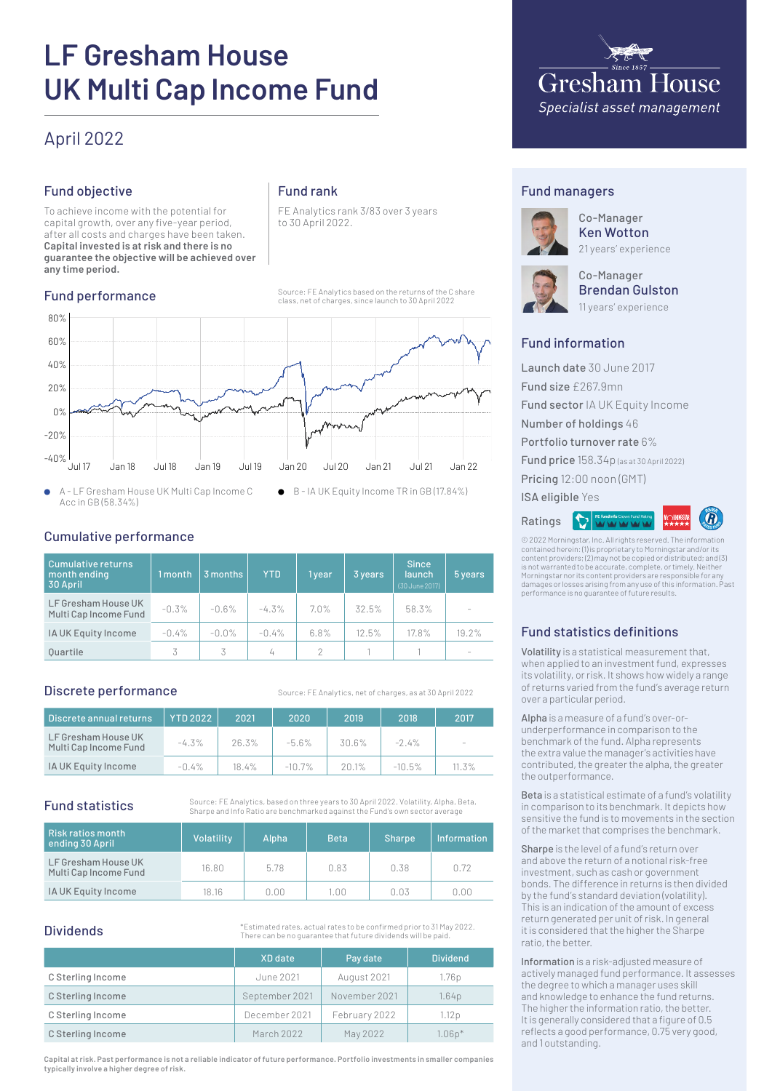# **LF Gresham House UK Multi Cap Income Fund**

# April 2022

# Fund objective

To achieve income with the potential for capital growth, over any five-year period, after all costs and charges have been taken. **Capital invested is at risk and there is no guarantee the objective will be achieved over any time period.**

# Fund performance

# Fund rank

FE Analytics rank 3/83 over 3 years to 30 April 2022.

Source: FE Analytics based on the returns of the C share class, net of charges, since launch to 30 April 2022



A - LF Gresham House UK Multi Cap Income C  $\bullet$ Acc in GB (58.34%)

# Cumulative performance

| <b>Cumulative returns</b><br>month ending<br>30 April | 1 month  | 3 months | <b>YTD</b> | 1 year  | 3 years | <b>Since</b><br>launch<br>(30 June 2017) | 5 years |
|-------------------------------------------------------|----------|----------|------------|---------|---------|------------------------------------------|---------|
| LF Gresham House UK<br>Multi Cap Income Fund          | $-0.3%$  | $-0.6%$  | $-4.3%$    | $7.0\%$ | 32.5%   | 58.3%                                    |         |
| IA UK Equity Income                                   | $-0.4\%$ | $-0.0%$  | $-0.4%$    | 6.8%    | 12.5%   | 17.8%                                    | 19.2%   |
| <b>Ouartile</b>                                       | 3        | 3        | 4          | 2       |         |                                          |         |

# Discrete performance

Source: EE Analytics, net of charges, as at 30 April 2022

| Discrete annual returns                      | <b>YTD 2022</b> | 2021  | 2020      | 2019  | 2018     | 2017     |
|----------------------------------------------|-----------------|-------|-----------|-------|----------|----------|
| LF Gresham House UK<br>Multi Cap Income Fund | $-4.3\%$        | 26.3% | $-5.6%$   | 30.6% | $-2.4\%$ | -        |
| IA UK Equity Income                          | $-0.4\%$        | 18.4% | $-10.7\%$ | 20.1% | $-10.5%$ | $11.3\%$ |

# Fund statistics

Source: FE Analytics, based on three years to 30 April 2022. Volatility, Alpha, Beta, Sharpe and Info Ratio are benchmarked against the Fund's own sector average

| Risk ratios month<br>ending 30 April         | Volatility | Alpha | <b>Beta</b> | Sharpe | <b>Information</b> |
|----------------------------------------------|------------|-------|-------------|--------|--------------------|
| LF Gresham House UK<br>Multi Cap Income Fund | 16.80      | 5.78  | 0.83        | 0.38   | 0.72               |
| IA UK Equity Income                          | 18.16      | 0.00  | I.OO        | 0.03   | n nn               |

# **Dividends**

\*Estimated rates, actual rates to be confirmed prior to 31 May 2022. There can be no guarantee that future dividends will be paid.

|                   | XD date        | Pay date      | <b>Dividend</b> |
|-------------------|----------------|---------------|-----------------|
| C Sterling Income | June 2021      | August 2021   | 1.76p           |
| C Sterling Income | September 2021 | November 2021 | 1.64p           |
| C Sterling Income | December 2021  | February 2022 | 1.12 p          |
| C Sterling Income | March 2022     | May 2022      | $1.06p*$        |

**Capital at risk. Past performance is not a reliable indicator of future performance. Portfolio investments in smaller companies typically involve a higher degree of risk.**



# Fund managers



Co-Manager Ken Wotton 21 years' experience



Co-Manager Brendan Gulston 11 years' experience

# Fund information

Launch date 30 June 2017 Fund size £267.9mn Fund sector IA UK Equity Income Number of holdings 46 Portfolio turnover rate 6% Fund price 158.34p (as at 30 April 2022) Pricing 12:00 noon (GMT) ISA eligible Yes

**E fundinfo Crown Fund Rat** Ratings



© 2022 Morningstar, Inc. All rights reserved. The information contained herein: (1) is proprietary to Morningstar and/or its content providers; (2) may not be copied or distributed; and (3) is not warranted to be accurate, complete, or timely. Neither Morningstar nor its content providers are responsible for any damages or losses arising from any use of this information. Past performance is no guarantee of future results.

# Fund statistics definitions

Volatility is a statistical measurement that, when applied to an investment fund, expresses its volatility, or risk. It shows how widely a range of returns varied from the fund's average return over a particular period.

Alpha is a measure of a fund's over-orunderperformance in comparison to the benchmark of the fund. Alpha represents the extra value the manager's activities have contributed, the greater the alpha, the greater the outperformance.

Beta is a statistical estimate of a fund's volatility in comparison to its benchmark. It depicts how sensitive the fund is to movements in the section of the market that comprises the benchmark.

Sharpe is the level of a fund's return over and above the return of a notional risk-free investment, such as cash or government bonds. The difference in returns is then divided by the fund's standard deviation (volatility). This is an indication of the amount of excess return generated per unit of risk. In general it is considered that the higher the Sharpe ratio, the better.

Information is a risk-adjusted measure of actively managed fund performance. It assesses the degree to which a manager uses skill and knowledge to enhance the fund returns. The higher the information ratio, the better. It is generally considered that a figure of 0.5 reflects a good performance, 0.75 very good, and 1 outstanding.